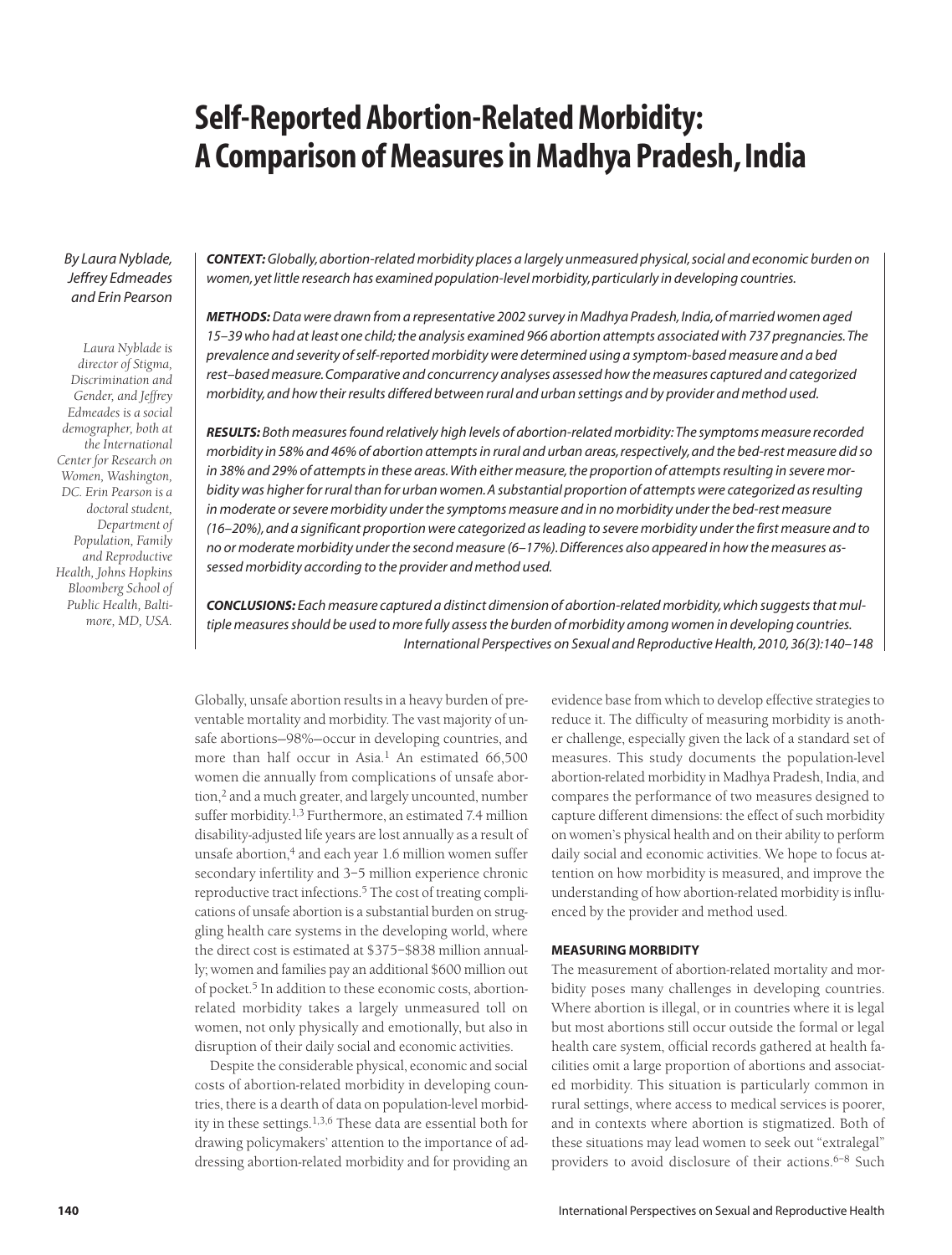# **Self-Reported Abortion-Related Morbidity: A Comparison of Measures in Madhya Pradesh, India**

# *By Laura Nyblade, Jeffrey Edmeades and Erin Pearson*

*Laura Nyblade is director of Stigma, Discrimination and Gender, and Jeffrey Edmeades is a social demographer, both at the International Center for Research on Women, Washington, DC. Erin Pearson is a doctoral student, Department of Population, Family and Reproductive Health, Johns Hopkins Bloomberg School of Public Health, Baltimore, MD, USA.* *CONTEXT:Globally, abortion-related morbidity places a largely unmeasured physical, social and economic burden on women, yet little research has examined population-level morbidity, particularly in developing countries.*

*METHODS:Data were drawn from a representative 2002 survey in Madhya Pradesh, India, of married women aged 15–39 who had at least one child; the analysis examined 966 abortion attempts associated with 737 pregnancies. The prevalence and severity of self-reported morbidity were determined using a symptom-based measure and a bed rest–based measure. Comparative and concurrency analyses assessed how the measures captured and categorized morbidity, and how their results differed between rural and urban settings and by provider and method used.*

*RESULTS: Both measures found relatively high levels of abortion-related morbidity: The symptoms measure recorded morbidity in 58% and 46% of abortion attempts in rural and urban areas, respectively, and the bed-rest measure did so in 38% and 29% of attempts in these areas. With either measure, the proportion of attempts resulting in severe morbidity was higher for rural than for urban women. A substantial proportion of attempts were categorized as resulting in moderate or severe morbidity under the symptoms measure and in no morbidity under the bed-rest measure (16–20%), and a significant proportion were categorized as leading to severe morbidity under the first measure and to no or moderate morbidity under the second measure (6–17%). Differences also appeared in how the measures assessed morbidity according to the provider and method used.*

*CONCLUSIONS: Each measure captured a distinct dimension of abortion-related morbidity, which suggests that multiple measures should be used to more fully assess the burden of morbidity among women in developing countries. International Perspectives on Sexual and Reproductive Health, 2010, 36(3):140–148*

Globally, unsafe abortion results in a heavy burden of preventable mortality and morbidity. The vast majority of unsafe abortions—98%—occur in developing countries, and more than half occur in Asia.<sup>1</sup> An estimated  $66,500$ women die annually from complications of unsafe abortion,<sup>2</sup> and a much greater, and largely uncounted, number suffer morbidity.<sup>1,3</sup> Furthermore, an estimated 7.4 million disability-adjusted life years are lost annually as a result of unsafe abortion,<sup>4</sup> and each year 1.6 million women suffer secondary infertility and 3–5 million experience chronic reproductive tract infections.<sup>5</sup> The cost of treating complications of unsafe abortion is a substantial burden on struggling health care systems in the developing world, where the direct cost is estimated at \$375–\$838 million annually; women and families pay an additional \$600 million out of pocket.<sup>5</sup> In addition to these economic costs, abortionrelated morbidity takes a largely unmeasured toll on women, not only physically and emotionally, but also in disruption of their daily social and economic activities.

Despite the considerable physical, economic and social costs of abortion-related morbidity in developing countries, there is a dearth of data on population-level morbidity in these settings.1,3,6 These data are essential both for drawing policymakers' attention to the importance of addressing abortion-related morbidity and for providing an evidence base from which to develop effective strategies to reduce it. The difficulty of measuring morbidity is another challenge, especially given the lack of a standard set of measures. This study documents the population-level abortion-related morbidity in Madhya Pradesh, India, and compares the performance of two measures designed to capture different dimensions: the effect of such morbidity on women's physical health and on their ability to perform daily social and economic activities. We hope to focus attention on how morbidity is measured, and improve the understanding of how abortion-related morbidity is influenced by the provider and method used.

# **MEASURING MORBIDITY**

The measurement of abortion-related mortality and morbidity poses many challenges in developing countries. Where abortion is illegal, or in countries where it is legal but most abortions still occur outside the formal or legal health care system, official records gathered at health facilities omit a large proportion of abortions and associated morbidity. This situation is particularly common in rural settings, where access to medical services is poorer, and in contexts where abortion is stigmatized. Both of these situations may lead women to seek out "extralegal" providers to avoid disclosure of their actions.<sup>6-8</sup> Such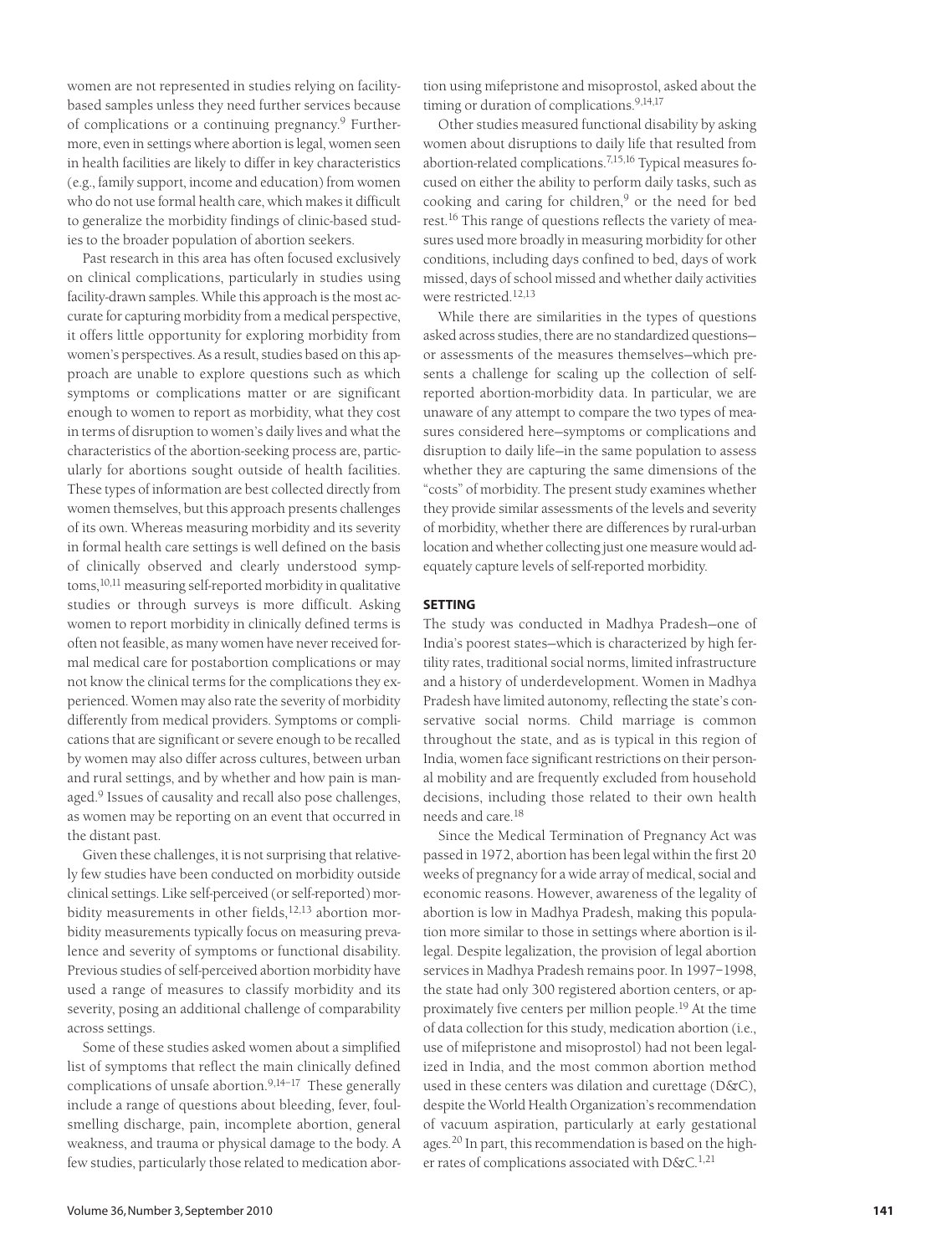women are not represented in studies relying on facilitybased samples unless they need further services because of complications or a continuing pregnancy.<sup>9</sup> Furthermore, even in settings where abortion is legal, women seen in health facilities are likely to differ in key characteristics (e.g., family support, income and education) from women who do not use formal health care, which makes it difficult to generalize the morbidity findings of clinic-based studies to the broader population of abortion seekers.

Past research in this area has often focused exclusively on clinical complications, particularly in studies using facility-drawn samples. While this approach is the most accurate for capturing morbidity from a medical perspective, it offers little opportunity for exploring morbidity from women's perspectives. As a result, studies based on this approach are unable to explore questions such as which symptoms or complications matter or are significant enough to women to report as morbidity, what they cost in terms of disruption to women's daily lives and what the characteristics of the abortion-seeking process are, particularly for abortions sought outside of health facilities. These types of information are best collected directly from women themselves, but this approach presents challenges of its own. Whereas measuring morbidity and its severity in formal health care settings is well defined on the basis of clinically observed and clearly understood symptoms,10,11 measuring self-reported morbidity in qualitative studies or through surveys is more difficult. Asking women to report morbidity in clinically defined terms is often not feasible, as many women have never received formal medical care for postabortion complications or may not know the clinical terms for the complications they experienced. Women may also rate the severity of morbidity differently from medical providers. Symptoms or complications that are significant or severe enough to be recalled by women may also differ across cultures, between urban and rural settings, and by whether and how pain is managed.<sup>9</sup> Issues of causality and recall also pose challenges, as women may be reporting on an event that occurred in the distant past.

Given these challenges, it is not surprising that relatively few studies have been conducted on morbidity outside clinical settings. Like self-perceived (or self-reported) morbidity measurements in other fields, $12,13$  abortion morbidity measurements typically focus on measuring prevalence and severity of symptoms or functional disability. Previous studies of self-perceived abortion morbidity have used a range of measures to classify morbidity and its severity, posing an additional challenge of comparability across settings.

Some of these studies asked women about a simplified list of symptoms that reflect the main clinically defined complications of unsafe abortion.9,14–17 These generally include a range of questions about bleeding, fever, foulsmelling discharge, pain, incomplete abortion, general weakness, and trauma or physical damage to the body. A few studies, particularly those related to medication abortion using mifepristone and misoprostol, asked about the timing or duration of complications.<sup>9,14,17</sup>

Other studies measured functional disability by asking women about disruptions to daily life that resulted from abortion-related complications.7,15,16 Typical measures focused on either the ability to perform daily tasks, such as cooking and caring for children, $9$  or the need for bed rest.<sup>16</sup> This range of questions reflects the variety of measures used more broadly in measuring morbidity for other conditions, including days confined to bed, days of work missed, days of school missed and whether daily activities were restricted.12,13

While there are similarities in the types of questions asked across studies, there are no standardized questions or assessments of the measures themselves—which presents a challenge for scaling up the collection of selfreported abortion-morbidity data. In particular, we are unaware of any attempt to compare the two types of measures considered here—symptoms or complications and disruption to daily life—in the same population to assess whether they are capturing the same dimensions of the "costs" of morbidity. The present study examines whether they provide similar assessments of the levels and severity of morbidity, whether there are differences by rural-urban location and whether collecting just one measure would adequately capture levels of self-reported morbidity.

# **SETTING**

The study was conducted in Madhya Pradesh—one of India's poorest states—which is characterized by high fertility rates, traditional social norms, limited infrastructure and a history of underdevelopment. Women in Madhya Pradesh have limited autonomy, reflecting the state's conservative social norms. Child marriage is common throughout the state, and as is typical in this region of India, women face significant restrictions on their personal mobility and are frequently excluded from household decisions, including those related to their own health needs and care.18

Since the Medical Termination of Pregnancy Act was passed in 1972, abortion has been legal within the first 20 weeks of pregnancy for a wide array of medical, social and economic reasons. However, awareness of the legality of abortion is low in Madhya Pradesh, making this population more similar to those in settings where abortion is illegal. Despite legalization, the provision of legal abortion services in Madhya Pradesh remains poor. In 1997–1998, the state had only 300 registered abortion centers, or approximately five centers per million people.19 At the time of data collection for this study, medication abortion (i.e., use of mifepristone and misoprostol) had not been legalized in India, and the most common abortion method used in these centers was dilation and curettage (D&C), despite the World Health Organization's recommendation of vacuum aspiration, particularly at early gestational ages.20 In part, this recommendation is based on the higher rates of complications associated with  $D\&C^{1,21}$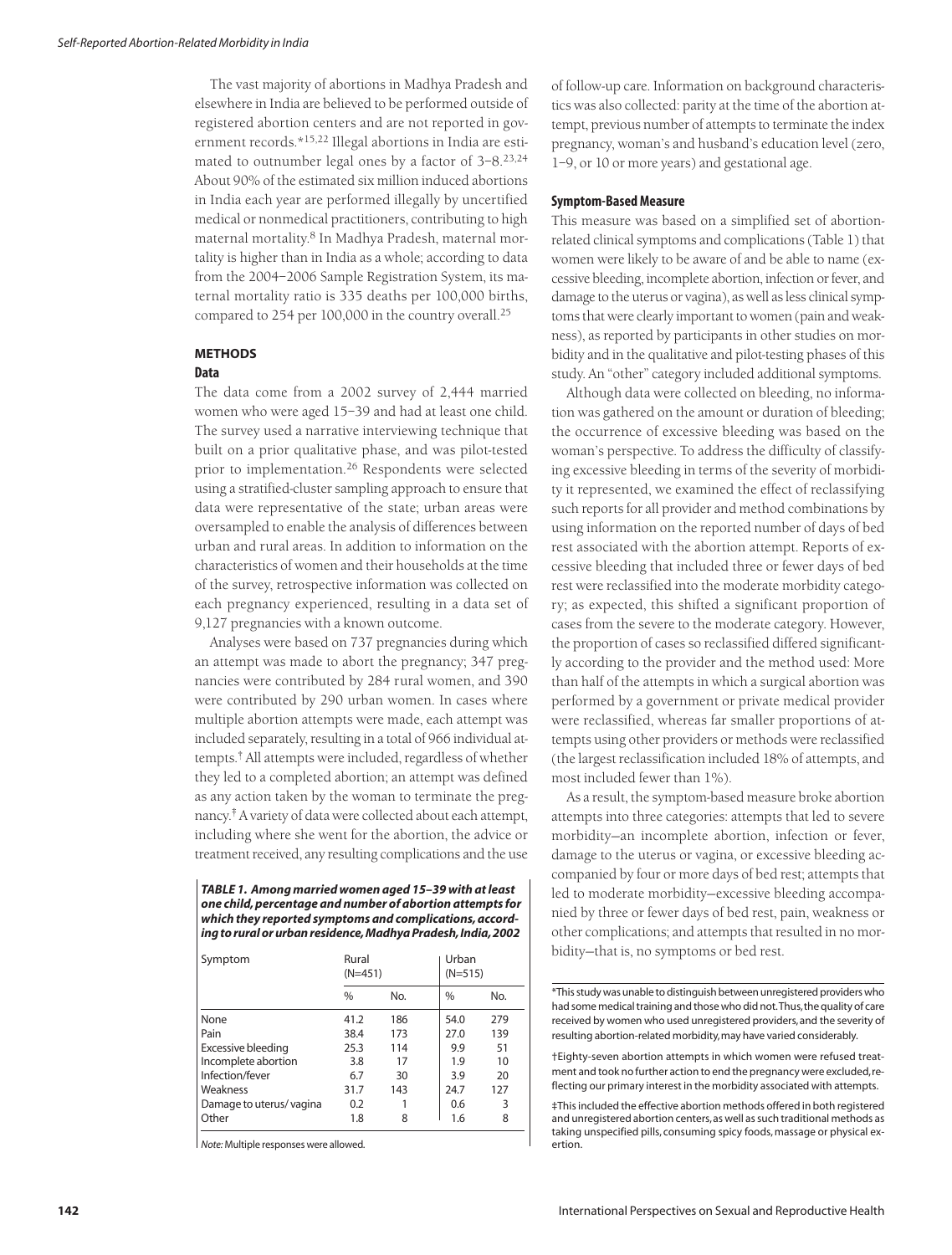The vast majority of abortions in Madhya Pradesh and elsewhere in India are believed to be performed outside of registered abortion centers and are not reported in government records.\*15,22 Illegal abortions in India are estimated to outnumber legal ones by a factor of  $3-8$ .<sup>23,24</sup> About 90% of the estimated six million induced abortions in India each year are performed illegally by uncertified medical or nonmedical practitioners, contributing to high maternal mortality.<sup>8</sup> In Madhya Pradesh, maternal mortality is higher than in India as a whole; according to data from the 2004–2006 Sample Registration System, its maternal mortality ratio is 335 deaths per 100,000 births, compared to 254 per 100,000 in the country overall.25

# **METHODS**

# **Data**

The data come from a 2002 survey of 2,444 married women who were aged 15–39 and had at least one child. The survey used a narrative interviewing technique that built on a prior qualitative phase, and was pilot-tested prior to implementation.<sup>26</sup> Respondents were selected using a stratified-cluster sampling approach to ensure that data were representative of the state; urban areas were oversampled to enable the analysis of differences between urban and rural areas. In addition to information on the characteristics of women and their households at the time of the survey, retrospective information was collected on each pregnancy experienced, resulting in a data set of 9,127 pregnancies with a known outcome.

Analyses were based on 737 pregnancies during which an attempt was made to abort the pregnancy; 347 pregnancies were contributed by 284 rural women, and 390 were contributed by 290 urban women. In cases where multiple abortion attempts were made, each attempt was included separately, resulting in a total of 966 individual attempts.† All attempts were included, regardless of whether they led to a completed abortion; an attempt was defined as any action taken by the woman to terminate the pregnancy.‡ A variety of data were collected about each attempt, including where she went for the abortion, the advice or treatment received, any resulting complications and the use

*TABLE 1. Among married women aged 15–39 with at least one child, percentage and number of abortion attempts for which they reported symptoms and complications, according to rural or urban residence, Madhya Pradesh, India, 2002*

| Symptom                 | Rural<br>$(N=451)$ |     | Urban | $(N=515)$ |  |  |
|-------------------------|--------------------|-----|-------|-----------|--|--|
|                         | $\frac{0}{0}$      | No. | $\%$  | No.       |  |  |
| None                    | 41.2               | 186 | 54.0  | 279       |  |  |
| Pain                    | 38.4               | 173 | 27.0  | 139       |  |  |
| Excessive bleeding      | 25.3               | 114 | 9.9   | 51        |  |  |
| Incomplete abortion     | 3.8                | 17  | 1.9   | 10        |  |  |
| Infection/fever         | 6.7                | 30  | 3.9   | 20        |  |  |
| Weakness                | 31.7               | 143 | 24.7  | 127       |  |  |
| Damage to uterus/vagina | 0.2                |     | 0.6   | 3         |  |  |
| Other                   | 1.8                | 8   | 1.6   | 8         |  |  |

 $\overline{\phantom{a}}$ 

*Note:* Multiple responses were allowed.

of follow-up care. Information on background characteristics was also collected: parity at the time of the abortion attempt, previous number of attempts to terminate the index pregnancy, woman's and husband's education level (zero, 1–9, or 10 or more years) and gestational age.

## **Symptom-Based Measure**

This measure was based on a simplified set of abortionrelated clinical symptoms and complications (Table 1) that women were likely to be aware of and be able to name (excessive bleeding, incomplete abortion, infection or fever, and damage to the uterus or vagina), as well as less clinical symptoms that were clearly important to women (pain and weakness), as reported by participants in other studies on morbidity and in the qualitative and pilot-testing phases of this study. An "other" category included additional symptoms.

Although data were collected on bleeding, no information was gathered on the amount or duration of bleeding; the occurrence of excessive bleeding was based on the woman's perspective. To address the difficulty of classifying excessive bleeding in terms of the severity of morbidity it represented, we examined the effect of reclassifying such reports for all provider and method combinations by using information on the reported number of days of bed rest associated with the abortion attempt. Reports of excessive bleeding that included three or fewer days of bed rest were reclassified into the moderate morbidity category; as expected, this shifted a significant proportion of cases from the severe to the moderate category. However, the proportion of cases so reclassified differed significantly according to the provider and the method used: More than half of the attempts in which a surgical abortion was performed by a government or private medical provider were reclassified, whereas far smaller proportions of attempts using other providers or methods were reclassified (the largest reclassification included 18% of attempts, and most included fewer than 1%).

As a result, the symptom-based measure broke abortion attempts into three categories: attempts that led to severe morbidity—an incomplete abortion, infection or fever, damage to the uterus or vagina, or excessive bleeding accompanied by four or more days of bed rest; attempts that led to moderate morbidity—excessive bleeding accompanied by three or fewer days of bed rest, pain, weakness or other complications; and attempts that resulted in no morbidity—that is, no symptoms or bed rest.

\*This study was unable to distinguish between unregistered providers who had some medical training and those who did not.Thus,the quality of care received by women who used unregistered providers, and the severity of resulting abortion-related morbidity,may have varied considerably.

†Eighty-seven abortion attempts in which women were refused treatment and took no further action to end the pregnancy were excluded,reflecting our primary interest in the morbidity associated with attempts.

‡This included the effective abortion methods offered in both registered and unregistered abortion centers,as well as such traditional methods as taking unspecified pills, consuming spicy foods, massage or physical exertion.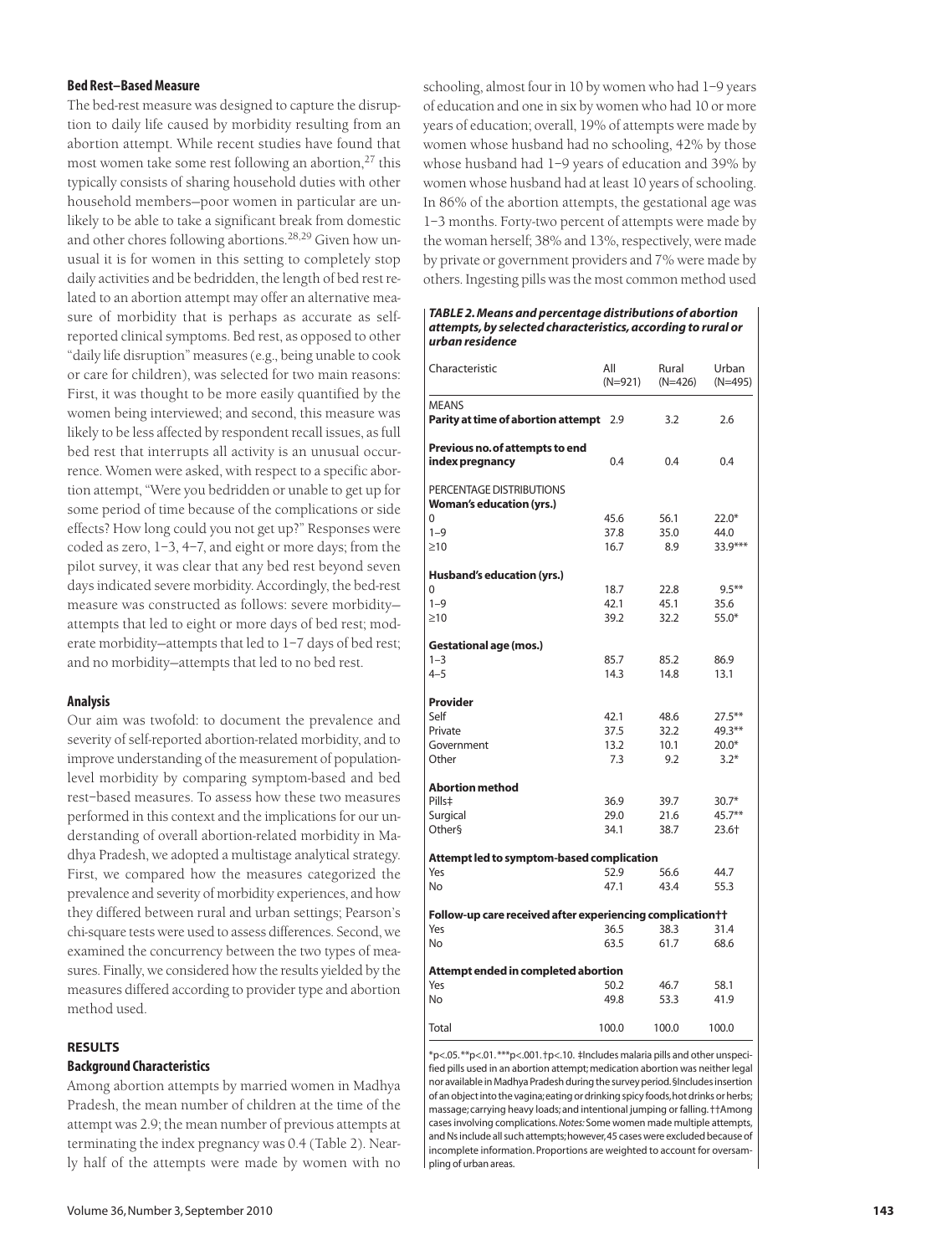# **Bed Rest–Based Measure**

The bed-rest measure was designed to capture the disruption to daily life caused by morbidity resulting from an abortion attempt. While recent studies have found that most women take some rest following an abortion, $27$  this typically consists of sharing household duties with other household members—poor women in particular are unlikely to be able to take a significant break from domestic and other chores following abortions.28,29 Given how unusual it is for women in this setting to completely stop daily activities and be bedridden, the length of bed rest related to an abortion attempt may offer an alternative measure of morbidity that is perhaps as accurate as selfreported clinical symptoms. Bed rest, as opposed to other "daily life disruption" measures (e.g., being unable to cook or care for children), was selected for two main reasons: First, it was thought to be more easily quantified by the women being interviewed; and second, this measure was likely to be less affected by respondent recall issues, as full bed rest that interrupts all activity is an unusual occurrence. Women were asked, with respect to a specific abortion attempt, "Were you bedridden or unable to get up for some period of time because of the complications or side effects? How long could you not get up?" Responses were coded as zero, 1–3, 4–7, and eight or more days; from the pilot survey, it was clear that any bed rest beyond seven days indicated severe morbidity. Accordingly, the bed-rest measure was constructed as follows: severe morbidity attempts that led to eight or more days of bed rest; moderate morbidity—attempts that led to 1–7 days of bed rest; and no morbidity—attempts that led to no bed rest.

## **Analysis**

Our aim was twofold: to document the prevalence and severity of self-reported abortion-related morbidity, and to improve understanding of the measurement of populationlevel morbidity by comparing symptom-based and bed rest–based measures. To assess how these two measures performed in this context and the implications for our understanding of overall abortion-related morbidity in Madhya Pradesh, we adopted a multistage analytical strategy. First, we compared how the measures categorized the prevalence and severity of morbidity experiences, and how they differed between rural and urban settings; Pearson's chi-square tests were used to assess differences. Second, we examined the concurrency between the two types of measures. Finally, we considered how the results yielded by the measures differed according to provider type and abortion method used.

# **RESULTS**

# **Background Characteristics**

Among abortion attempts by married women in Madhya Pradesh, the mean number of children at the time of the attempt was 2.9; the mean number of previous attempts at terminating the index pregnancy was 0.4 (Table 2). Nearly half of the attempts were made by women with no

schooling, almost four in 10 by women who had 1–9 years of education and one in six by women who had 10 or more years of education; overall, 19% of attempts were made by women whose husband had no schooling, 42% by those whose husband had 1–9 years of education and 39% by women whose husband had at least 10 years of schooling. In 86% of the abortion attempts, the gestational age was 1–3 months. Forty-two percent of attempts were made by the woman herself; 38% and 13%, respectively, were made by private or government providers and 7% were made by others. Ingesting pills was the most common method used

#### *TABLE 2. Means and percentage distributions of abortion attempts, by selected characteristics, according to rural or urban residence*

| Characteristic                                              | All<br>$(N=921)$ | Rural<br>$(N=426)$ | Urban<br>$(N=495)$ |  |
|-------------------------------------------------------------|------------------|--------------------|--------------------|--|
| <b>MEANS</b>                                                |                  |                    |                    |  |
| Parity at time of abortion attempt 2.9                      |                  | 3.2                | 2.6                |  |
| Previous no. of attempts to end<br>index pregnancy          | 0.4              | 0.4                | 0.4                |  |
| PERCENTAGE DISTRIBUTIONS<br><b>Woman's education (yrs.)</b> |                  |                    |                    |  |
| 0                                                           | 45.6             | 56.1               | $22.0*$            |  |
| $1 - 9$                                                     | 37.8             | 35.0               | 44.0               |  |
| $\geq10$                                                    | 16.7             | 8.9                | 33.9***            |  |
| Husband's education (yrs.)                                  |                  |                    |                    |  |
| 0                                                           | 18.7             | 22.8               | $9.5***$           |  |
| $1 - 9$                                                     | 42.1             | 45.1               | 35.6               |  |
| $\geq10$                                                    | 39.2             | 32.2               | $55.0*$            |  |
| <b>Gestational age (mos.)</b>                               |                  |                    |                    |  |
| $1 - 3$                                                     | 85.7             | 85.2               | 86.9               |  |
| $4 - 5$                                                     | 14.3             | 14.8               | 13.1               |  |
| <b>Provider</b>                                             |                  |                    |                    |  |
| Self                                                        | 42.1             | 48.6               | $27.5***$          |  |
| Private                                                     | 37.5             | 32.2               | $49.3***$          |  |
| Government                                                  | 13.2             | 10.1               | $20.0*$            |  |
| Other                                                       | 7.3              | 9.2                | $3.2*$             |  |
| <b>Abortion method</b>                                      |                  |                    |                    |  |
| Pills#                                                      | 36.9             | 39.7               | $30.7*$            |  |
| Surgical                                                    | 29.0             | 21.6               | $45.7***$          |  |
| Other§                                                      | 34.1             | 38.7               | $23.6+$            |  |
| Attempt led to symptom-based complication                   |                  |                    |                    |  |
| Yes                                                         | 52.9             | 56.6               | 44.7               |  |
| No                                                          | 47.1             | 43.4               | 55.3               |  |
| Follow-up care received after experiencing complication††   |                  |                    |                    |  |
| Yes                                                         | 36.5             | 38.3               | 31.4               |  |
| No                                                          | 63.5             | 61.7               | 68.6               |  |
| Attempt ended in completed abortion                         |                  |                    |                    |  |
| Yes                                                         | 50.2             | 46.7               | 58.1               |  |
| No                                                          | 49.8             | 53.3               | 41.9               |  |
| Total                                                       | 100.0            | 100.0              | 100.0              |  |

\*p<.05.\*\*p<.01.\*\*\*p<.001.†p<.10. ‡Includes malaria pills and other unspecified pills used in an abortion attempt; medication abortion was neither legal nor available in Madhya Pradesh during the survey period.§Includes insertion of an object into the vagina; eating or drinking spicy foods, hot drinks or herbs; massage; carrying heavy loads; and intentional jumping or falling. ††Among cases involving complications.*Notes:*Some women made multiple attempts, and Ns include all such attempts;however,45 cases were excluded because of incomplete information. Proportions are weighted to account for oversampling of urban areas.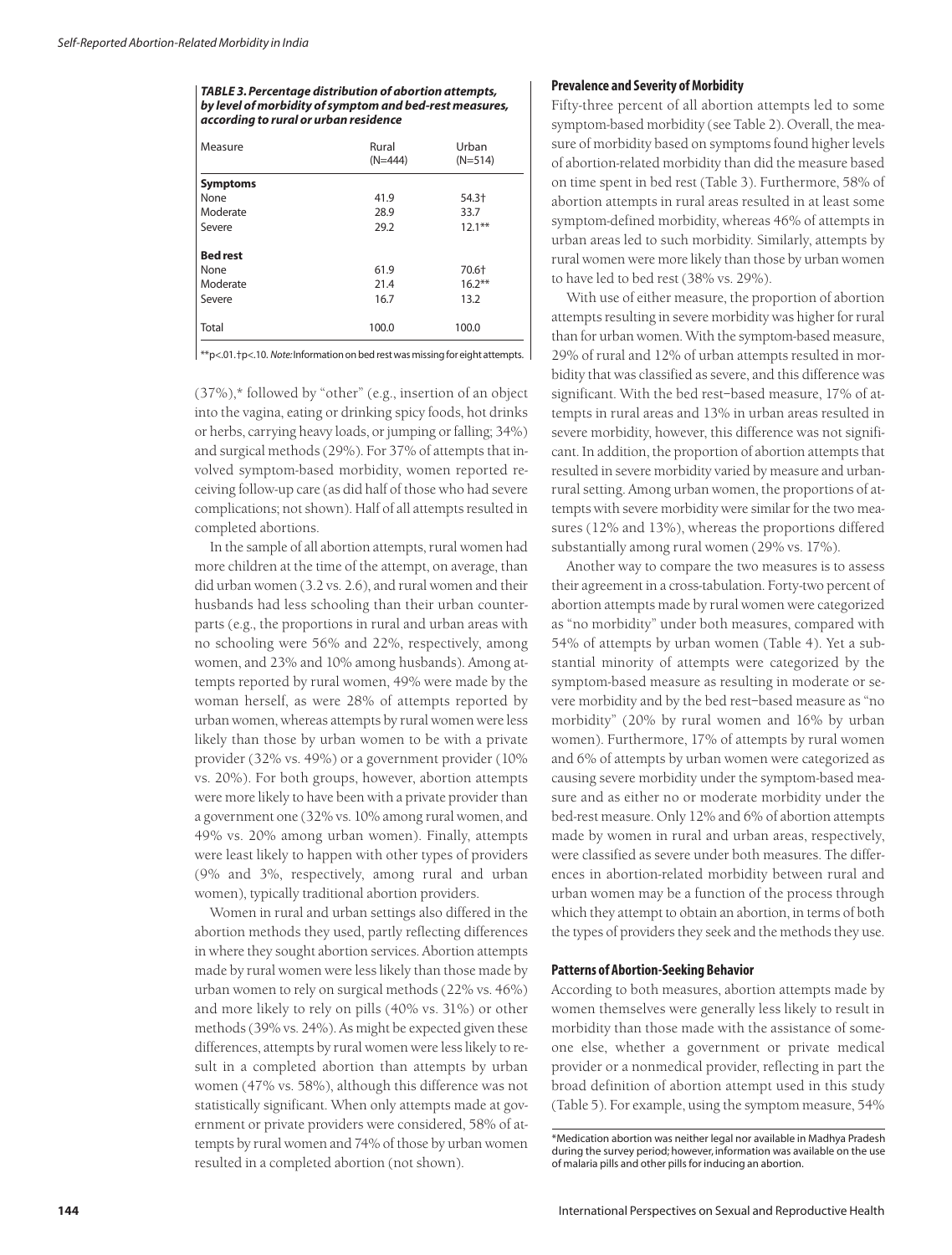*TABLE 3. Percentage distribution of abortion attempts, by level of morbidity of symptom and bed-rest measures, according to rural or urban residence*

| Measure         | Rural<br>$(N=444)$ | Urban<br>$(N=514)$ |
|-----------------|--------------------|--------------------|
| <b>Symptoms</b> |                    |                    |
| None            | 41.9               | 54.3†              |
| Moderate        | 28.9               | 33.7               |
| Severe          | 29.2               | $12.1***$          |
| <b>Bed rest</b> |                    |                    |
| None            | 61.9               | 70.6+              |
| Moderate        | 21.4               | $16.2***$          |
| Severe          | 16.7               | 13.2               |
| Total           | 100.0              | 100.0              |

\*\*p<.01.†p<.10. *Note:*Information on bed rest was missing for eight attempts.

(37%),\* followed by "other" (e.g., insertion of an object into the vagina, eating or drinking spicy foods, hot drinks or herbs, carrying heavy loads, or jumping or falling; 34%) and surgical methods (29%). For 37% of attempts that involved symptom-based morbidity, women reported receiving follow-up care (as did half of those who had severe complications; not shown). Half of all attempts resulted in completed abortions.

In the sample of all abortion attempts, rural women had more children at the time of the attempt, on average, than did urban women (3.2 vs. 2.6), and rural women and their husbands had less schooling than their urban counterparts (e.g., the proportions in rural and urban areas with no schooling were 56% and 22%, respectively, among women, and 23% and 10% among husbands). Among attempts reported by rural women, 49% were made by the woman herself, as were 28% of attempts reported by urban women, whereas attempts by rural women were less likely than those by urban women to be with a private provider (32% vs. 49%) or a government provider (10% vs. 20%). For both groups, however, abortion attempts were more likely to have been with a private provider than a government one (32% vs. 10% among rural women, and 49% vs. 20% among urban women). Finally, attempts were least likely to happen with other types of providers (9% and 3%, respectively, among rural and urban women), typically traditional abortion providers.

Women in rural and urban settings also differed in the abortion methods they used, partly reflecting differences in where they sought abortion services. Abortion attempts made by rural women were less likely than those made by urban women to rely on surgical methods (22% vs. 46%) and more likely to rely on pills (40% vs. 31%) or other methods (39% vs. 24%). As might be expected given these differences, attempts by rural women were less likely to result in a completed abortion than attempts by urban women (47% vs. 58%), although this difference was not statistically significant. When only attempts made at government or private providers were considered, 58% of attempts by rural women and 74% of those by urban women resulted in a completed abortion (not shown).

#### **Prevalence and Severity of Morbidity**

Fifty-three percent of all abortion attempts led to some symptom-based morbidity (see Table 2). Overall, the measure of morbidity based on symptoms found higher levels of abortion-related morbidity than did the measure based on time spent in bed rest (Table 3). Furthermore, 58% of abortion attempts in rural areas resulted in at least some symptom-defined morbidity, whereas 46% of attempts in urban areas led to such morbidity. Similarly, attempts by rural women were more likely than those by urban women to have led to bed rest (38% vs. 29%).

With use of either measure, the proportion of abortion attempts resulting in severe morbidity was higher for rural than for urban women. With the symptom-based measure, 29% of rural and 12% of urban attempts resulted in morbidity that was classified as severe, and this difference was significant. With the bed rest–based measure, 17% of attempts in rural areas and 13% in urban areas resulted in severe morbidity, however, this difference was not significant. In addition, the proportion of abortion attempts that resulted in severe morbidity varied by measure and urbanrural setting. Among urban women, the proportions of attempts with severe morbidity were similar for the two measures (12% and 13%), whereas the proportions differed substantially among rural women (29% vs. 17%).

Another way to compare the two measures is to assess their agreement in a cross-tabulation. Forty-two percent of abortion attempts made by rural women were categorized as "no morbidity" under both measures, compared with 54% of attempts by urban women (Table 4). Yet a substantial minority of attempts were categorized by the symptom-based measure as resulting in moderate or severe morbidity and by the bed rest–based measure as "no morbidity" (20% by rural women and 16% by urban women). Furthermore, 17% of attempts by rural women and 6% of attempts by urban women were categorized as causing severe morbidity under the symptom-based measure and as either no or moderate morbidity under the bed-rest measure. Only 12% and 6% of abortion attempts made by women in rural and urban areas, respectively, were classified as severe under both measures. The differences in abortion-related morbidity between rural and urban women may be a function of the process through which they attempt to obtain an abortion, in terms of both the types of providers they seek and the methods they use.

### **Patterns of Abortion-Seeking Behavior**

According to both measures, abortion attempts made by women themselves were generally less likely to result in morbidity than those made with the assistance of someone else, whether a government or private medical provider or a nonmedical provider, reflecting in part the broad definition of abortion attempt used in this study (Table 5). For example, using the symptom measure, 54%

<sup>\*</sup>Medication abortion was neither legal nor available in Madhya Pradesh during the survey period; however, information was available on the use of malaria pills and other pills for inducing an abortion.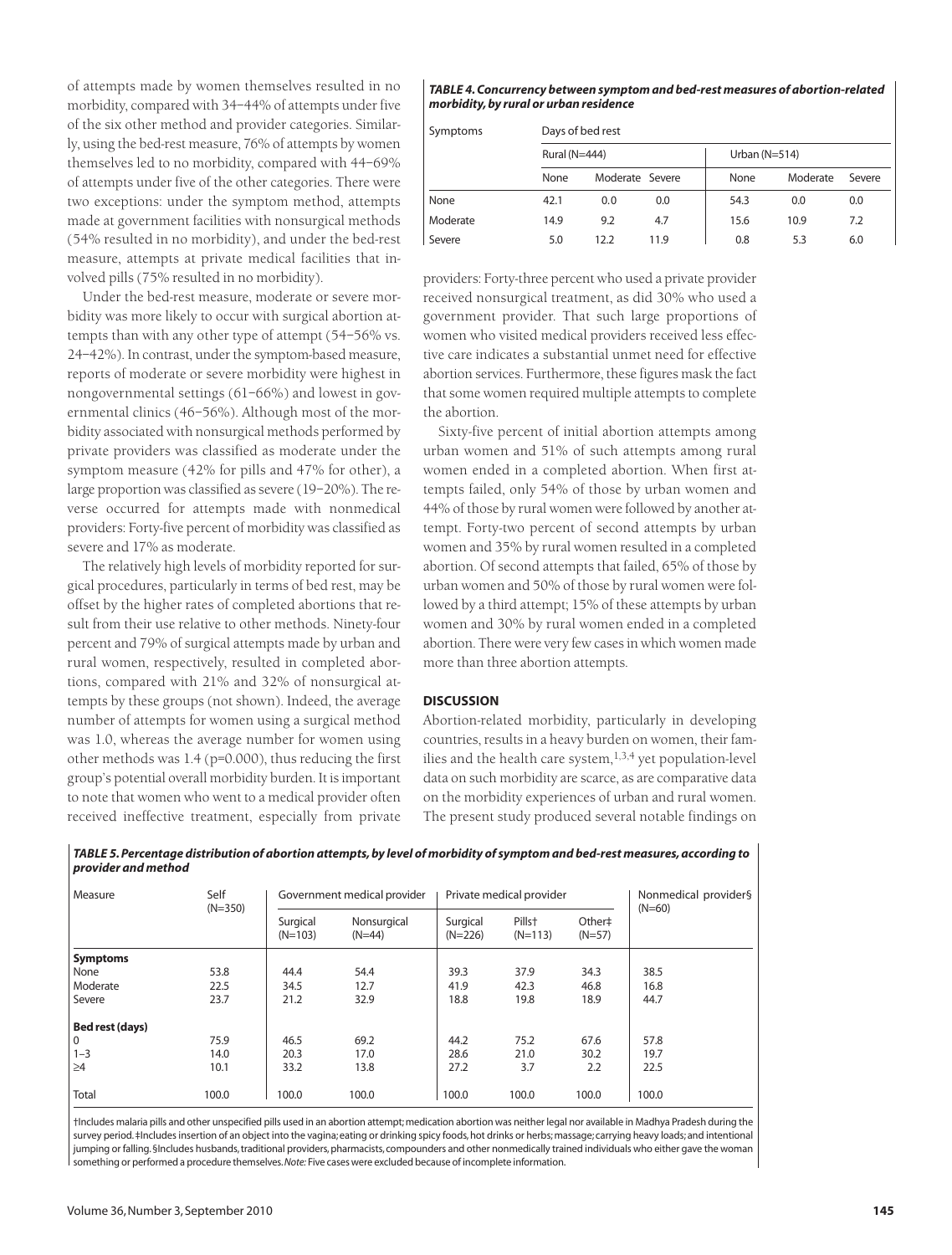of attempts made by women themselves resulted in no morbidity, compared with 34–44% of attempts under five of the six other method and provider categories. Similarly, using the bed-rest measure, 76% of attempts by women themselves led to no morbidity, compared with 44–69% of attempts under five of the other categories. There were two exceptions: under the symptom method, attempts made at government facilities with nonsurgical methods (54% resulted in no morbidity), and under the bed-rest measure, attempts at private medical facilities that involved pills (75% resulted in no morbidity).

Under the bed-rest measure, moderate or severe morbidity was more likely to occur with surgical abortion attempts than with any other type of attempt (54–56% vs. 24–42%). In contrast, under the symptom-based measure, reports of moderate or severe morbidity were highest in nongovernmental settings (61–66%) and lowest in governmental clinics (46–56%). Although most of the morbidity associated with nonsurgical methods performed by private providers was classified as moderate under the symptom measure (42% for pills and 47% for other), a large proportion was classified as severe (19–20%). The reverse occurred for attempts made with nonmedical providers: Forty-five percent of morbidity was classified as severe and 17% as moderate.

The relatively high levels of morbidity reported for surgical procedures, particularly in terms of bed rest, may be offset by the higher rates of completed abortions that result from their use relative to other methods. Ninety-four percent and 79% of surgical attempts made by urban and rural women, respectively, resulted in completed abortions, compared with 21% and 32% of nonsurgical attempts by these groups (not shown). Indeed, the average number of attempts for women using a surgical method was 1.0, whereas the average number for women using other methods was 1.4 (p=0.000), thus reducing the first group's potential overall morbidity burden. It is important to note that women who went to a medical provider often received ineffective treatment, especially from private

#### *TABLE 4. Concurrency between symptom and bed-rest measures of abortion-related morbidity, by rural or urban residence*

| Symptoms |      | Days of bed rest |                 |      |                 |        |  |  |
|----------|------|------------------|-----------------|------|-----------------|--------|--|--|
|          |      | Rural (N=444)    |                 |      | Urban $(N=514)$ |        |  |  |
|          | None |                  | Moderate Severe | None | Moderate        | Severe |  |  |
| None     | 42.1 | 0.0              | 0.0             | 54.3 | 0.0             | 0.0    |  |  |
| Moderate | 14.9 | 9.2              | 4.7             | 15.6 | 10.9            | 7.2    |  |  |
| Severe   | 5.0  | 12.2             | 11.9            | 0.8  | 5.3             | 6.0    |  |  |

providers: Forty-three percent who used a private provider received nonsurgical treatment, as did 30% who used a government provider. That such large proportions of women who visited medical providers received less effective care indicates a substantial unmet need for effective abortion services. Furthermore, these figures mask the fact that some women required multiple attempts to complete the abortion.

Sixty-five percent of initial abortion attempts among urban women and 51% of such attempts among rural women ended in a completed abortion. When first attempts failed, only 54% of those by urban women and 44% of those by rural women were followed by another attempt. Forty-two percent of second attempts by urban women and 35% by rural women resulted in a completed abortion. Of second attempts that failed, 65% of those by urban women and 50% of those by rural women were followed by a third attempt; 15% of these attempts by urban women and 30% by rural women ended in a completed abortion. There were very few cases in which women made more than three abortion attempts.

## **DISCUSSION**

Abortion-related morbidity, particularly in developing countries, results in a heavy burden on women, their families and the health care system, $1,3,4$  yet population-level data on such morbidity are scarce, as are comparative data on the morbidity experiences of urban and rural women. The present study produced several notable findings on

| Self<br>Measure<br>$(N=350)$ |       | Government medical provider |                         | Private medical provider |                                 |                    | Nonmedical provider§ |
|------------------------------|-------|-----------------------------|-------------------------|--------------------------|---------------------------------|--------------------|----------------------|
|                              |       | Surgical<br>$(N=103)$       | Nonsurgical<br>$(N=44)$ | Surgical<br>$(N=226)$    | Pills <sup>+</sup><br>$(N=113)$ | Other#<br>$(N=57)$ | $(N=60)$             |
| <b>Symptoms</b>              |       |                             |                         |                          |                                 |                    |                      |
| None                         | 53.8  | 44.4                        | 54.4                    | 39.3                     | 37.9                            | 34.3               | 38.5                 |
| Moderate                     | 22.5  | 34.5                        | 12.7                    | 41.9                     | 42.3                            | 46.8               | 16.8                 |
| Severe                       | 23.7  | 21.2                        | 32.9                    | 18.8                     | 19.8                            | 18.9               | 44.7                 |
| Bed rest (days)              |       |                             |                         |                          |                                 |                    |                      |
| 0                            | 75.9  | 46.5                        | 69.2                    | 44.2                     | 75.2                            | 67.6               | 57.8                 |
| $1 - 3$                      | 14.0  | 20.3                        | 17.0                    | 28.6                     | 21.0                            | 30.2               | 19.7                 |
| $\geq 4$                     | 10.1  | 33.2                        | 13.8                    | 27.2                     | 3.7                             | 2.2                | 22.5                 |
| Total                        | 100.0 | 100.0                       | 100.0                   | 100.0                    | 100.0                           | 100.0              | 100.0                |

*TABLE 5. Percentage distribution of abortion attempts, by level of morbidity of symptom and bed-rest measures, according to provider and method*

†Includes malaria pills and other unspecified pills used in an abortion attempt; medication abortion was neither legal nor available in Madhya Pradesh during the survey period. ‡Includes insertion of an object into the vagina; eating or drinking spicy foods, hot drinks or herbs; massage; carrying heavy loads; and intentional jumping or falling. §Includes husbands, traditional providers, pharmacists, compounders and other nonmedically trained individuals who either gave the woman something or performed a procedure themselves.*Note:* Five cases were excluded because of incomplete information.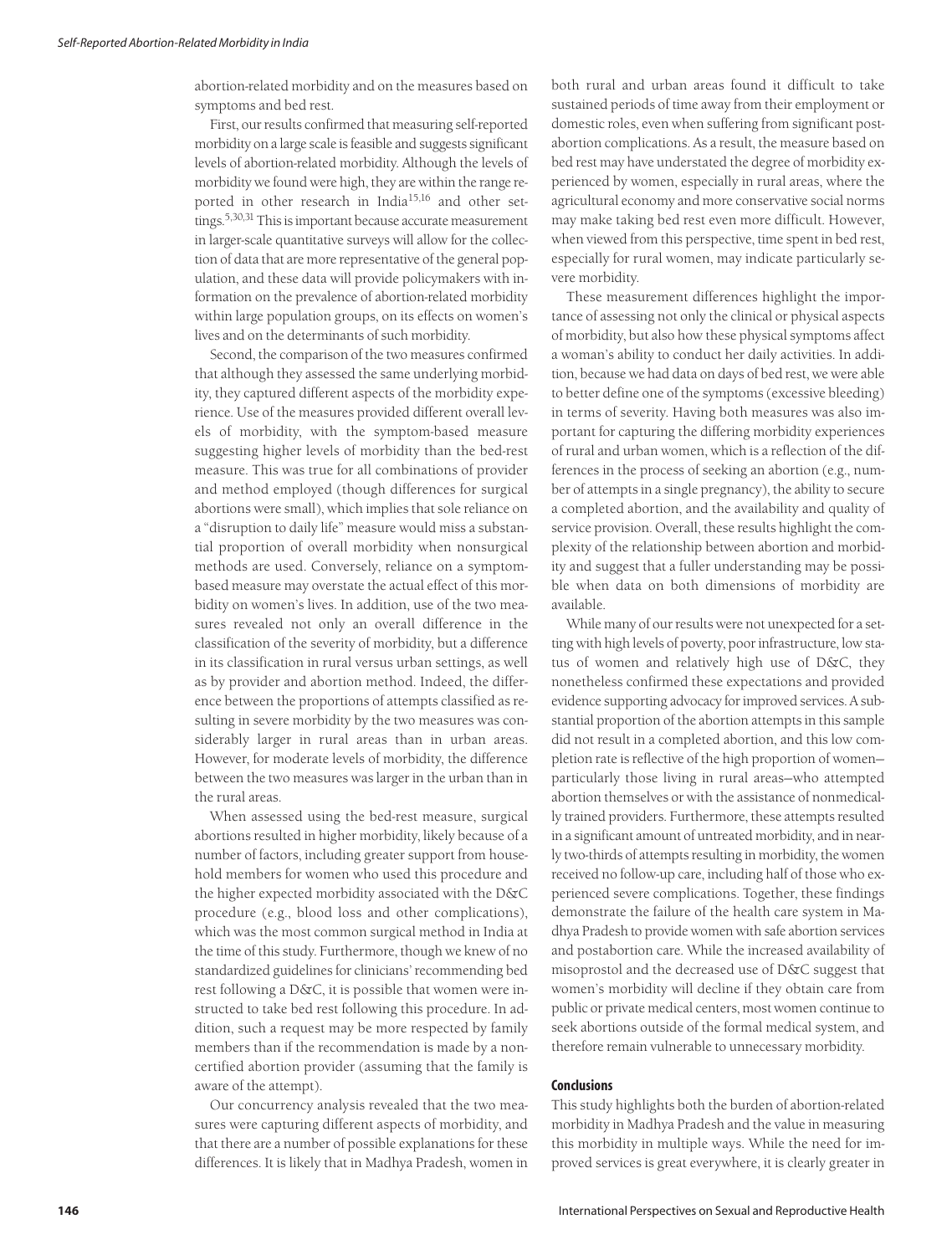abortion-related morbidity and on the measures based on symptoms and bed rest.

First, our results confirmed that measuring self-reported morbidity on a large scale is feasible and suggests significant levels of abortion-related morbidity. Although the levels of morbidity we found were high, they are within the range reported in other research in India15,16 and other settings.5,30,31 This is important because accurate measurement in larger-scale quantitative surveys will allow for the collection of data that are more representative of the general population, and these data will provide policymakers with information on the prevalence of abortion-related morbidity within large population groups, on its effects on women's lives and on the determinants of such morbidity.

Second, the comparison of the two measures confirmed that although they assessed the same underlying morbidity, they captured different aspects of the morbidity experience. Use of the measures provided different overall levels of morbidity, with the symptom-based measure suggesting higher levels of morbidity than the bed-rest measure. This was true for all combinations of provider and method employed (though differences for surgical abortions were small), which implies that sole reliance on a "disruption to daily life" measure would miss a substantial proportion of overall morbidity when nonsurgical methods are used. Conversely, reliance on a symptombased measure may overstate the actual effect of this morbidity on women's lives. In addition, use of the two measures revealed not only an overall difference in the classification of the severity of morbidity, but a difference in its classification in rural versus urban settings, as well as by provider and abortion method. Indeed, the difference between the proportions of attempts classified as resulting in severe morbidity by the two measures was considerably larger in rural areas than in urban areas. However, for moderate levels of morbidity, the difference between the two measures was larger in the urban than in the rural areas.

When assessed using the bed-rest measure, surgical abortions resulted in higher morbidity, likely because of a number of factors, including greater support from household members for women who used this procedure and the higher expected morbidity associated with the D&C procedure (e.g., blood loss and other complications), which was the most common surgical method in India at the time of this study. Furthermore, though we knew of no standardized guidelines for clinicians' recommending bed rest following a D&C, it is possible that women were instructed to take bed rest following this procedure. In addition, such a request may be more respected by family members than if the recommendation is made by a noncertified abortion provider (assuming that the family is aware of the attempt).

Our concurrency analysis revealed that the two measures were capturing different aspects of morbidity, and that there are a number of possible explanations for these differences. It is likely that in Madhya Pradesh, women in both rural and urban areas found it difficult to take sustained periods of time away from their employment or domestic roles, even when suffering from significant postabortion complications. As a result, the measure based on bed rest may have understated the degree of morbidity experienced by women, especially in rural areas, where the agricultural economy and more conservative social norms may make taking bed rest even more difficult. However, when viewed from this perspective, time spent in bed rest, especially for rural women, may indicate particularly severe morbidity.

These measurement differences highlight the importance of assessing not only the clinical or physical aspects of morbidity, but also how these physical symptoms affect a woman's ability to conduct her daily activities. In addition, because we had data on days of bed rest, we were able to better define one of the symptoms (excessive bleeding) in terms of severity. Having both measures was also important for capturing the differing morbidity experiences of rural and urban women, which is a reflection of the differences in the process of seeking an abortion (e.g., number of attempts in a single pregnancy), the ability to secure a completed abortion, and the availability and quality of service provision. Overall, these results highlight the complexity of the relationship between abortion and morbidity and suggest that a fuller understanding may be possible when data on both dimensions of morbidity are available.

While many of our results were not unexpected for a setting with high levels of poverty, poor infrastructure, low status of women and relatively high use of D&C, they nonetheless confirmed these expectations and provided evidence supporting advocacy for improved services. A substantial proportion of the abortion attempts in this sample did not result in a completed abortion, and this low completion rate is reflective of the high proportion of women particularly those living in rural areas—who attempted abortion themselves or with the assistance of nonmedically trained providers. Furthermore, these attempts resulted in a significant amount of untreated morbidity, and in nearly two-thirds of attempts resulting in morbidity, the women received no follow-up care, including half of those who experienced severe complications. Together, these findings demonstrate the failure of the health care system in Madhya Pradesh to provide women with safe abortion services and postabortion care. While the increased availability of misoprostol and the decreased use of D&C suggest that women's morbidity will decline if they obtain care from public or private medical centers, most women continue to seek abortions outside of the formal medical system, and therefore remain vulnerable to unnecessary morbidity.

## **Conclusions**

This study highlights both the burden of abortion-related morbidity in Madhya Pradesh and the value in measuring this morbidity in multiple ways. While the need for improved services is great everywhere, it is clearly greater in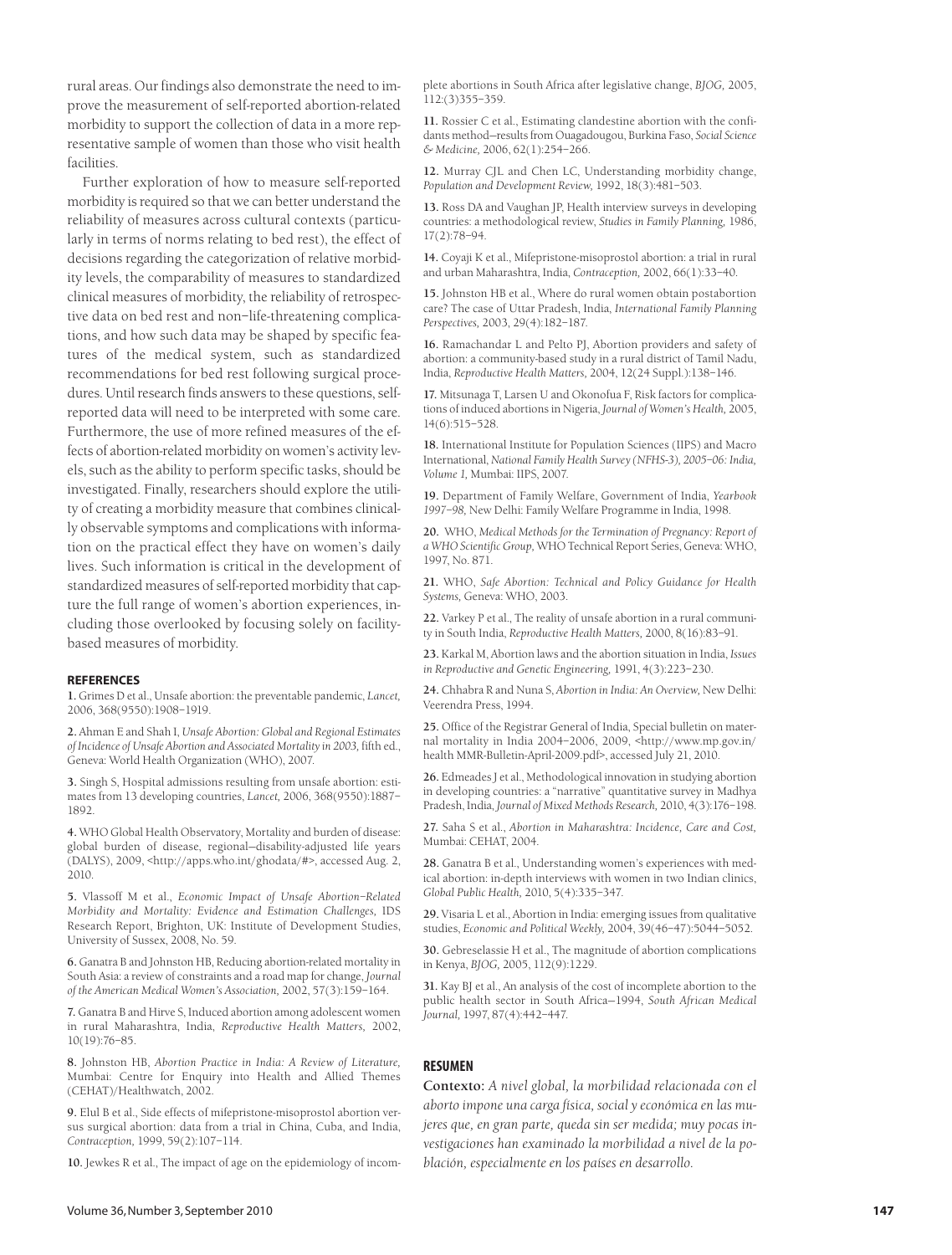rural areas. Our findings also demonstrate the need to improve the measurement of self-reported abortion-related morbidity to support the collection of data in a more representative sample of women than those who visit health facilities.

Further exploration of how to measure self-reported morbidity is required so that we can better understand the reliability of measures across cultural contexts (particularly in terms of norms relating to bed rest), the effect of decisions regarding the categorization of relative morbidity levels, the comparability of measures to standardized clinical measures of morbidity, the reliability of retrospective data on bed rest and non–life-threatening complications, and how such data may be shaped by specific features of the medical system, such as standardized recommendations for bed rest following surgical procedures. Until research finds answers to these questions, selfreported data will need to be interpreted with some care. Furthermore, the use of more refined measures of the effects of abortion-related morbidity on women's activity levels, such as the ability to perform specific tasks, should be investigated. Finally, researchers should explore the utility of creating a morbidity measure that combines clinically observable symptoms and complications with information on the practical effect they have on women's daily lives. Such information is critical in the development of standardized measures of self-reported morbidity that capture the full range of women's abortion experiences, including those overlooked by focusing solely on facilitybased measures of morbidity.

#### **REFERENCES**

**1.** Grimes D et al., Unsafe abortion: the preventable pandemic, *Lancet,* 2006, 368(9550):1908–1919.

**2.** Ahman E and Shah I, *Unsafe Abortion: Global and Regional Estimates of Incidence of Unsafe Abortion and Associated Mortality in 2003,* fifth ed., Geneva: World Health Organization (WHO), 2007.

**3.** Singh S, Hospital admissions resulting from unsafe abortion: estimates from 13 developing countries, *Lancet,* 2006, 368(9550):1887– 1892.

**4.** WHO Global Health Observatory, Mortality and burden of disease: global burden of disease, regional—disability-adjusted life years (DALYS), 2009, <http://apps.who.int/ghodata/#>, accessed Aug. 2, 2010.

**5.** Vlassoff M et al., *Economic Impact of Unsafe Abortion–Related Morbidity and Mortality: Evidence and Estimation Challenges,* IDS Research Report, Brighton, UK: Institute of Development Studies, University of Sussex, 2008, No. 59.

**6.** Ganatra B and Johnston HB, Reducing abortion-related mortality in South Asia: a review of constraints and a road map for change, *Journal of the American Medical Women's Association,* 2002, 57(3):159–164.

**7.** Ganatra B and Hirve S, Induced abortion among adolescent women in rural Maharashtra, India, *Reproductive Health Matters,* 2002, 10(19):76–85.

**8.** Johnston HB, *Abortion Practice in India: A Review of Literature,* Mumbai: Centre for Enquiry into Health and Allied Themes (CEHAT)/Healthwatch, 2002.

**9.** Elul B et al., Side effects of mifepristone-misoprostol abortion versus surgical abortion: data from a trial in China, Cuba, and India, *Contraception,* 1999, 59(2):107–114.

**10.** Jewkes R et al., The impact of age on the epidemiology of incom-

plete abortions in South Africa after legislative change, *BJOG,* 2005, 112:(3)355–359.

**11.** Rossier C et al., Estimating clandestine abortion with the confidants method—results from Ouagadougou, Burkina Faso, *Social Science & Medicine,* 2006, 62(1):254–266.

**12.** Murray CJL and Chen LC, Understanding morbidity change, *Population and Development Review,* 1992, 18(3):481–503.

**13.** Ross DA and Vaughan JP, Health interview surveys in developing countries: a methodological review, *Studies in Family Planning,* 1986, 17(2):78–94.

**14.** Coyaji K et al., Mifepristone-misoprostol abortion: a trial in rural and urban Maharashtra, India, *Contraception,* 2002, 66(1):33–40.

**15.** Johnston HB et al., Where do rural women obtain postabortion care? The case of Uttar Pradesh, India, *International Family Planning Perspectives,* 2003, 29(4):182–187.

**16.** Ramachandar L and Pelto PJ, Abortion providers and safety of abortion: a community-based study in a rural district of Tamil Nadu, India, *Reproductive Health Matters,* 2004, 12(24 Suppl.):138–146.

**17.** Mitsunaga T, Larsen U and Okonofua F, Risk factors for complications of induced abortions in Nigeria, *Journal of Women's Health,* 2005, 14(6):515–528.

**18.** International Institute for Population Sciences (IIPS) and Macro International, *National Family Health Survey (NFHS-3), 2005–06: India, Volume 1,* Mumbai: IIPS, 2007.

**19.** Department of Family Welfare, Government of India, *Yearbook 1997–98,* New Delhi: Family Welfare Programme in India, 1998.

**20.** WHO, *Medical Methods for the Termination of Pregnancy: Report of a WHO Scientific Group,* WHO Technical Report Series, Geneva: WHO, 1997, No. 871.

**21.** WHO, *Safe Abortion: Technical and Policy Guidance for Health Systems,* Geneva: WHO, 2003.

**22.** Varkey P et al., The reality of unsafe abortion in a rural community in South India, *Reproductive Health Matters,* 2000, 8(16):83–91.

**23.** Karkal M, Abortion laws and the abortion situation in India, *Issues in Reproductive and Genetic Engineering,* 1991, 4(3):223–230.

**24.** Chhabra R and Nuna S, *Abortion in India: An Overview,* New Delhi: Veerendra Press, 1994.

**25.** Office of the Registrar General of India, Special bulletin on maternal mortality in India 2004–2006, 2009, <http://www.mp.gov.in/ health MMR-Bulletin-April-2009.pdf>, accessed July 21, 2010.

**26.** Edmeades J et al., Methodological innovation in studying abortion in developing countries: a "narrative" quantitative survey in Madhya Pradesh, India, *Journal of Mixed Methods Research,* 2010, 4(3):176–198.

**27.** Saha S et al., *Abortion in Maharashtra: Incidence, Care and Cost,* Mumbai: CEHAT, 2004.

**28.** Ganatra B et al., Understanding women's experiences with medical abortion: in-depth interviews with women in two Indian clinics, *Global Public Health,* 2010, 5(4):335–347.

**29.** Visaria L et al., Abortion in India: emerging issues from qualitative studies, *Economic and Political Weekly,* 2004, 39(46–47):5044–5052.

**30.** Gebreselassie H et al., The magnitude of abortion complications in Kenya, *BJOG,* 2005, 112(9):1229.

**31.** Kay BJ et al., An analysis of the cost of incomplete abortion to the public health sector in South Africa—1994, *South African Medical Journal,* 1997, 87(4):442–447.

#### **RESUMEN**

**Contexto:** *A nivel global, la morbilidad relacionada con el aborto impone una carga física, social y económica en las mujeres que, en gran parte, queda sin ser medida; muy pocas investigaciones han examinado la morbilidad a nivel de la población, especialmente en los países en desarrollo.*